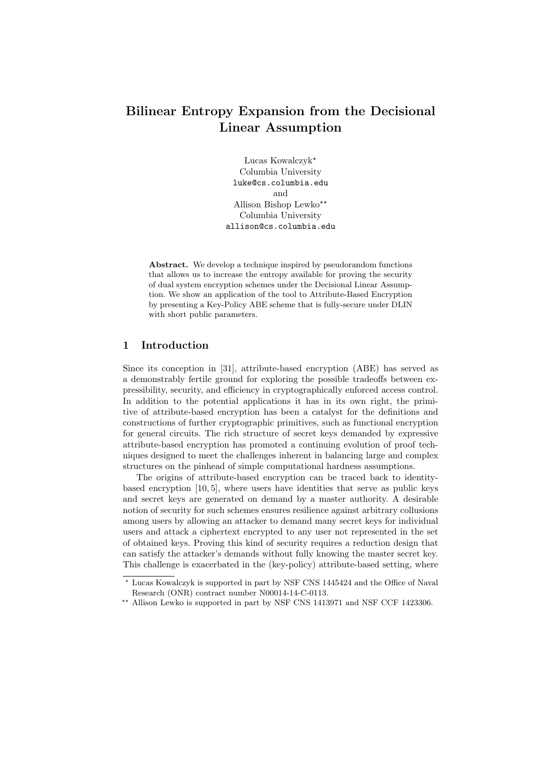# Bilinear Entropy Expansion from the Decisional Linear Assumption

Lucas Kowalczyk\* Columbia University luke@cs.columbia.edu and Allison Bishop Lewko\*\* Columbia University allison@cs.columbia.edu

Abstract. We develop a technique inspired by pseudorandom functions that allows us to increase the entropy available for proving the security of dual system encryption schemes under the Decisional Linear Assumption. We show an application of the tool to Attribute-Based Encryption by presenting a Key-Policy ABE scheme that is fully-secure under DLIN with short public parameters.

# 1 Introduction

Since its conception in [31], attribute-based encryption (ABE) has served as a demonstrably fertile ground for exploring the possible tradeoffs between expressibility, security, and efficiency in cryptographically enforced access control. In addition to the potential applications it has in its own right, the primitive of attribute-based encryption has been a catalyst for the definitions and constructions of further cryptographic primitives, such as functional encryption for general circuits. The rich structure of secret keys demanded by expressive attribute-based encryption has promoted a continuing evolution of proof techniques designed to meet the challenges inherent in balancing large and complex structures on the pinhead of simple computational hardness assumptions.

The origins of attribute-based encryption can be traced back to identitybased encryption [10, 5], where users have identities that serve as public keys and secret keys are generated on demand by a master authority. A desirable notion of security for such schemes ensures resilience against arbitrary collusions among users by allowing an attacker to demand many secret keys for individual users and attack a ciphertext encrypted to any user not represented in the set of obtained keys. Proving this kind of security requires a reduction design that can satisfy the attacker's demands without fully knowing the master secret key. This challenge is exacerbated in the (key-policy) attribute-based setting, where

<sup>?</sup> Lucas Kowalczyk is supported in part by NSF CNS 1445424 and the Office of Naval Research (ONR) contract number N00014-14-C-0113.

 $^{\star\star}$  Allison Lewko is supported in part by NSF CNS 1413971 and NSF CCF 1423306.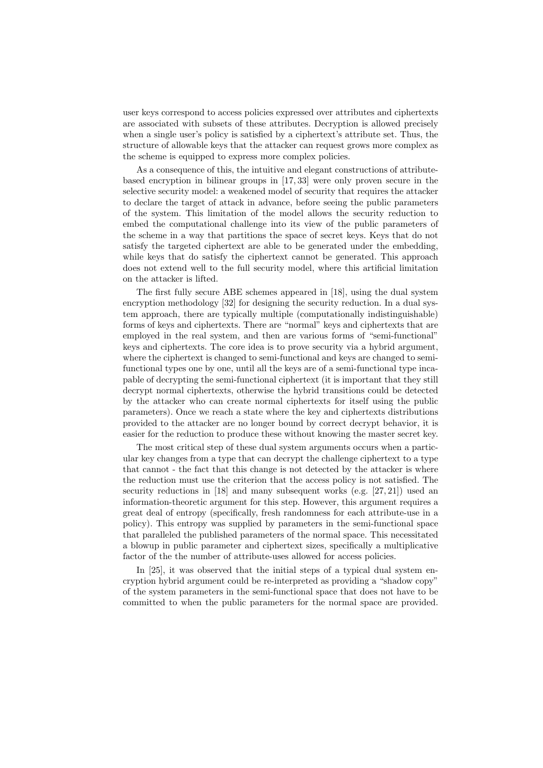user keys correspond to access policies expressed over attributes and ciphertexts are associated with subsets of these attributes. Decryption is allowed precisely when a single user's policy is satisfied by a ciphertext's attribute set. Thus, the structure of allowable keys that the attacker can request grows more complex as the scheme is equipped to express more complex policies.

As a consequence of this, the intuitive and elegant constructions of attributebased encryption in bilinear groups in [17, 33] were only proven secure in the selective security model: a weakened model of security that requires the attacker to declare the target of attack in advance, before seeing the public parameters of the system. This limitation of the model allows the security reduction to embed the computational challenge into its view of the public parameters of the scheme in a way that partitions the space of secret keys. Keys that do not satisfy the targeted ciphertext are able to be generated under the embedding, while keys that do satisfy the ciphertext cannot be generated. This approach does not extend well to the full security model, where this artificial limitation on the attacker is lifted.

The first fully secure ABE schemes appeared in [18], using the dual system encryption methodology [32] for designing the security reduction. In a dual system approach, there are typically multiple (computationally indistinguishable) forms of keys and ciphertexts. There are "normal" keys and ciphertexts that are employed in the real system, and then are various forms of "semi-functional" keys and ciphertexts. The core idea is to prove security via a hybrid argument, where the ciphertext is changed to semi-functional and keys are changed to semifunctional types one by one, until all the keys are of a semi-functional type incapable of decrypting the semi-functional ciphertext (it is important that they still decrypt normal ciphertexts, otherwise the hybrid transitions could be detected by the attacker who can create normal ciphertexts for itself using the public parameters). Once we reach a state where the key and ciphertexts distributions provided to the attacker are no longer bound by correct decrypt behavior, it is easier for the reduction to produce these without knowing the master secret key.

The most critical step of these dual system arguments occurs when a particular key changes from a type that can decrypt the challenge ciphertext to a type that cannot - the fact that this change is not detected by the attacker is where the reduction must use the criterion that the access policy is not satisfied. The security reductions in  $[18]$  and many subsequent works  $(e.g. [27, 21])$  used an information-theoretic argument for this step. However, this argument requires a great deal of entropy (specifically, fresh randomness for each attribute-use in a policy). This entropy was supplied by parameters in the semi-functional space that paralleled the published parameters of the normal space. This necessitated a blowup in public parameter and ciphertext sizes, specifically a multiplicative factor of the the number of attribute-uses allowed for access policies.

In [25], it was observed that the initial steps of a typical dual system encryption hybrid argument could be re-interpreted as providing a "shadow copy" of the system parameters in the semi-functional space that does not have to be committed to when the public parameters for the normal space are provided.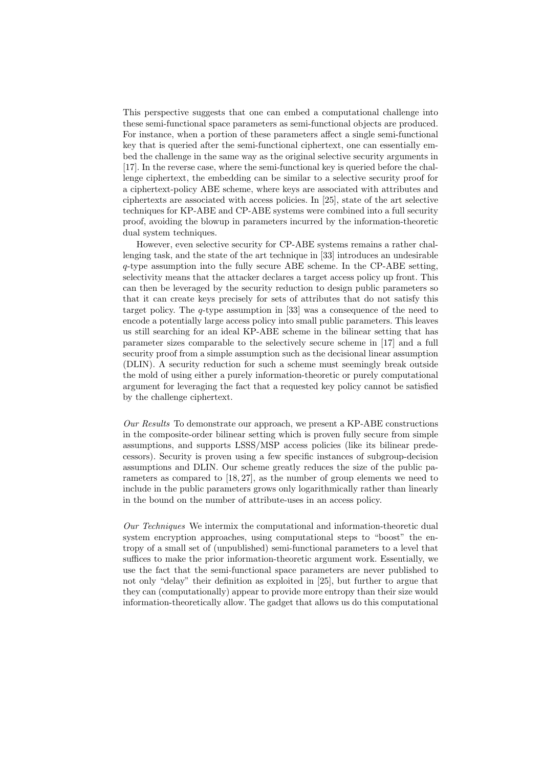This perspective suggests that one can embed a computational challenge into these semi-functional space parameters as semi-functional objects are produced. For instance, when a portion of these parameters affect a single semi-functional key that is queried after the semi-functional ciphertext, one can essentially embed the challenge in the same way as the original selective security arguments in [17]. In the reverse case, where the semi-functional key is queried before the challenge ciphertext, the embedding can be similar to a selective security proof for a ciphertext-policy ABE scheme, where keys are associated with attributes and ciphertexts are associated with access policies. In [25], state of the art selective techniques for KP-ABE and CP-ABE systems were combined into a full security proof, avoiding the blowup in parameters incurred by the information-theoretic dual system techniques.

However, even selective security for CP-ABE systems remains a rather challenging task, and the state of the art technique in [33] introduces an undesirable q-type assumption into the fully secure ABE scheme. In the CP-ABE setting, selectivity means that the attacker declares a target access policy up front. This can then be leveraged by the security reduction to design public parameters so that it can create keys precisely for sets of attributes that do not satisfy this target policy. The  $q$ -type assumption in [33] was a consequence of the need to encode a potentially large access policy into small public parameters. This leaves us still searching for an ideal KP-ABE scheme in the bilinear setting that has parameter sizes comparable to the selectively secure scheme in [17] and a full security proof from a simple assumption such as the decisional linear assumption (DLIN). A security reduction for such a scheme must seemingly break outside the mold of using either a purely information-theoretic or purely computational argument for leveraging the fact that a requested key policy cannot be satisfied by the challenge ciphertext.

Our Results To demonstrate our approach, we present a KP-ABE constructions in the composite-order bilinear setting which is proven fully secure from simple assumptions, and supports LSSS/MSP access policies (like its bilinear predecessors). Security is proven using a few specific instances of subgroup-decision assumptions and DLIN. Our scheme greatly reduces the size of the public parameters as compared to [18, 27], as the number of group elements we need to include in the public parameters grows only logarithmically rather than linearly in the bound on the number of attribute-uses in an access policy.

Our Techniques We intermix the computational and information-theoretic dual system encryption approaches, using computational steps to "boost" the entropy of a small set of (unpublished) semi-functional parameters to a level that suffices to make the prior information-theoretic argument work. Essentially, we use the fact that the semi-functional space parameters are never published to not only "delay" their definition as exploited in [25], but further to argue that they can (computationally) appear to provide more entropy than their size would information-theoretically allow. The gadget that allows us do this computational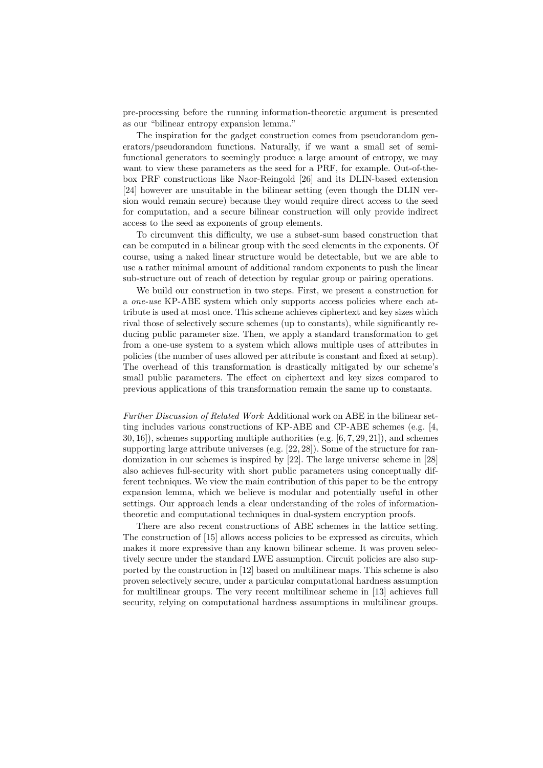pre-processing before the running information-theoretic argument is presented as our "bilinear entropy expansion lemma."

The inspiration for the gadget construction comes from pseudorandom generators/pseudorandom functions. Naturally, if we want a small set of semifunctional generators to seemingly produce a large amount of entropy, we may want to view these parameters as the seed for a PRF, for example. Out-of-thebox PRF constructions like Naor-Reingold [26] and its DLIN-based extension [24] however are unsuitable in the bilinear setting (even though the DLIN version would remain secure) because they would require direct access to the seed for computation, and a secure bilinear construction will only provide indirect access to the seed as exponents of group elements.

To circumvent this difficulty, we use a subset-sum based construction that can be computed in a bilinear group with the seed elements in the exponents. Of course, using a naked linear structure would be detectable, but we are able to use a rather minimal amount of additional random exponents to push the linear sub-structure out of reach of detection by regular group or pairing operations.

We build our construction in two steps. First, we present a construction for a one-use KP-ABE system which only supports access policies where each attribute is used at most once. This scheme achieves ciphertext and key sizes which rival those of selectively secure schemes (up to constants), while significantly reducing public parameter size. Then, we apply a standard transformation to get from a one-use system to a system which allows multiple uses of attributes in policies (the number of uses allowed per attribute is constant and fixed at setup). The overhead of this transformation is drastically mitigated by our scheme's small public parameters. The effect on ciphertext and key sizes compared to previous applications of this transformation remain the same up to constants.

Further Discussion of Related Work Additional work on ABE in the bilinear setting includes various constructions of KP-ABE and CP-ABE schemes (e.g. [4, 30, 16]), schemes supporting multiple authorities (e.g. [6, 7, 29, 21]), and schemes supporting large attribute universes (e.g. [22, 28]). Some of the structure for randomization in our schemes is inspired by [22]. The large universe scheme in [28] also achieves full-security with short public parameters using conceptually different techniques. We view the main contribution of this paper to be the entropy expansion lemma, which we believe is modular and potentially useful in other settings. Our approach lends a clear understanding of the roles of informationtheoretic and computational techniques in dual-system encryption proofs.

There are also recent constructions of ABE schemes in the lattice setting. The construction of [15] allows access policies to be expressed as circuits, which makes it more expressive than any known bilinear scheme. It was proven selectively secure under the standard LWE assumption. Circuit policies are also supported by the construction in [12] based on multilinear maps. This scheme is also proven selectively secure, under a particular computational hardness assumption for multilinear groups. The very recent multilinear scheme in [13] achieves full security, relying on computational hardness assumptions in multilinear groups.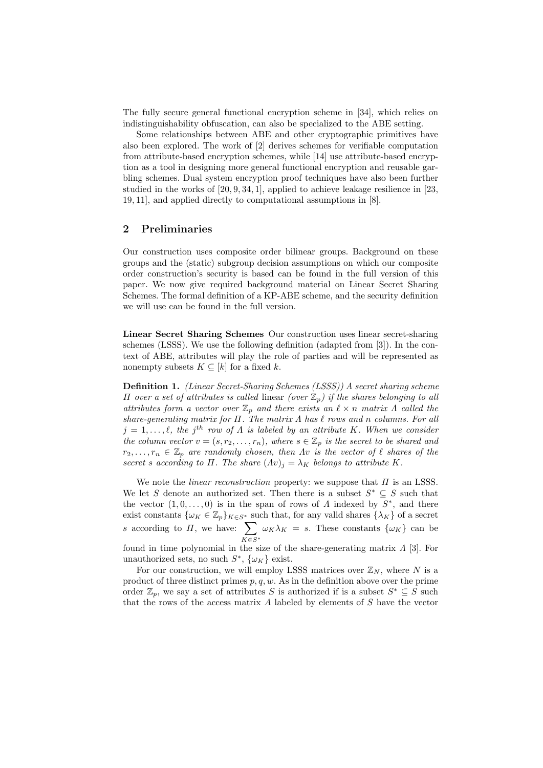The fully secure general functional encryption scheme in [34], which relies on indistinguishability obfuscation, can also be specialized to the ABE setting.

Some relationships between ABE and other cryptographic primitives have also been explored. The work of [2] derives schemes for verifiable computation from attribute-based encryption schemes, while [14] use attribute-based encryption as a tool in designing more general functional encryption and reusable garbling schemes. Dual system encryption proof techniques have also been further studied in the works of [20, 9, 34, 1], applied to achieve leakage resilience in [23, 19, 11], and applied directly to computational assumptions in [8].

## 2 Preliminaries

Our construction uses composite order bilinear groups. Background on these groups and the (static) subgroup decision assumptions on which our composite order construction's security is based can be found in the full version of this paper. We now give required background material on Linear Secret Sharing Schemes. The formal definition of a KP-ABE scheme, and the security definition we will use can be found in the full version.

Linear Secret Sharing Schemes Our construction uses linear secret-sharing schemes (LSSS). We use the following definition (adapted from [3]). In the context of ABE, attributes will play the role of parties and will be represented as nonempty subsets  $K \subseteq [k]$  for a fixed k.

Definition 1. (Linear Secret-Sharing Schemes (LSSS)) A secret sharing scheme Π over a set of attributes is called linear (over  $\mathbb{Z}_p$ ) if the shares belonging to all attributes form a vector over  $\mathbb{Z}_p$  and there exists an  $\ell \times n$  matrix  $\Lambda$  called the share-generating matrix for  $\Pi$ . The matrix  $\Lambda$  has  $\ell$  rows and n columns. For all  $j = 1, \ldots, \ell$ , the j<sup>th</sup> row of  $\Lambda$  is labeled by an attribute K. When we consider the column vector  $v = (s, r_2, \ldots, r_n)$ , where  $s \in \mathbb{Z}_p$  is the secret to be shared and  $r_2, \ldots, r_n \in \mathbb{Z}_p$  are randomly chosen, then  $\Lambda v$  is the vector of  $\ell$  shares of the secret s according to  $\Pi$ . The share  $(\Lambda v)_j = \lambda_K$  belongs to attribute K.

We note the *linear reconstruction* property: we suppose that  $\Pi$  is an LSSS. We let S denote an authorized set. Then there is a subset  $S^* \subseteq S$  such that the vector  $(1,0,\ldots,0)$  is in the span of rows of  $\Lambda$  indexed by  $S^*$ , and there exist constants  $\{\omega_K \in \mathbb{Z}_p\}_{K\in\mathbb{S}^*}$  such that, for any valid shares  $\{\lambda_K\}$  of a secret s according to  $\Pi$ , we have:  $\sum$ K∈S<sup>∗</sup>  $\omega_K \lambda_K = s$ . These constants  $\{\omega_K\}$  can be found in time polynomial in the size of the share-generating matrix  $\Lambda$  [3]. For

unauthorized sets, no such  $S^*$ ,  $\{\omega_K\}$  exist. For our construction, we will employ LSSS matrices over  $\mathbb{Z}_N$ , where N is a

product of three distinct primes  $p, q, w$ . As in the definition above over the prime order  $\mathbb{Z}_p$ , we say a set of attributes S is authorized if is a subset  $S^* \subseteq S$  such that the rows of the access matrix  $A$  labeled by elements of  $S$  have the vector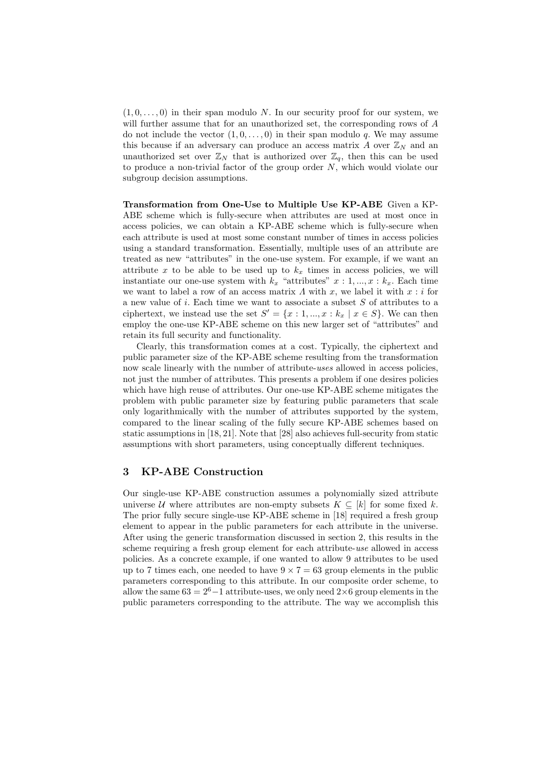$(1, 0, \ldots, 0)$  in their span modulo N. In our security proof for our system, we will further assume that for an unauthorized set, the corresponding rows of A do not include the vector  $(1, 0, \ldots, 0)$  in their span modulo q. We may assume this because if an adversary can produce an access matrix A over  $\mathbb{Z}_N$  and an unauthorized set over  $\mathbb{Z}_N$  that is authorized over  $\mathbb{Z}_q$ , then this can be used to produce a non-trivial factor of the group order  $N$ , which would violate our subgroup decision assumptions.

Transformation from One-Use to Multiple Use KP-ABE Given a KP-ABE scheme which is fully-secure when attributes are used at most once in access policies, we can obtain a KP-ABE scheme which is fully-secure when each attribute is used at most some constant number of times in access policies using a standard transformation. Essentially, multiple uses of an attribute are treated as new "attributes" in the one-use system. For example, if we want an attribute x to be able to be used up to  $k_x$  times in access policies, we will instantiate our one-use system with  $k_x$  "attributes"  $x: 1, ..., x: k_x$ . Each time we want to label a row of an access matrix  $\Lambda$  with  $x$ , we label it with  $x : i$  for a new value of i. Each time we want to associate a subset S of attributes to a ciphertext, we instead use the set  $S' = \{x : 1, ..., x : k_x \mid x \in S\}$ . We can then employ the one-use KP-ABE scheme on this new larger set of "attributes" and retain its full security and functionality.

Clearly, this transformation comes at a cost. Typically, the ciphertext and public parameter size of the KP-ABE scheme resulting from the transformation now scale linearly with the number of attribute-uses allowed in access policies, not just the number of attributes. This presents a problem if one desires policies which have high reuse of attributes. Our one-use KP-ABE scheme mitigates the problem with public parameter size by featuring public parameters that scale only logarithmically with the number of attributes supported by the system, compared to the linear scaling of the fully secure KP-ABE schemes based on static assumptions in [18, 21]. Note that [28] also achieves full-security from static assumptions with short parameters, using conceptually different techniques.

## 3 KP-ABE Construction

Our single-use KP-ABE construction assumes a polynomially sized attribute universe U where attributes are non-empty subsets  $K \subseteq [k]$  for some fixed k. The prior fully secure single-use KP-ABE scheme in [18] required a fresh group element to appear in the public parameters for each attribute in the universe. After using the generic transformation discussed in section 2, this results in the scheme requiring a fresh group element for each attribute-use allowed in access policies. As a concrete example, if one wanted to allow 9 attributes to be used up to 7 times each, one needed to have  $9 \times 7 = 63$  group elements in the public parameters corresponding to this attribute. In our composite order scheme, to allow the same  $63 = 2^6 - 1$  attribute-uses, we only need  $2 \times 6$  group elements in the public parameters corresponding to the attribute. The way we accomplish this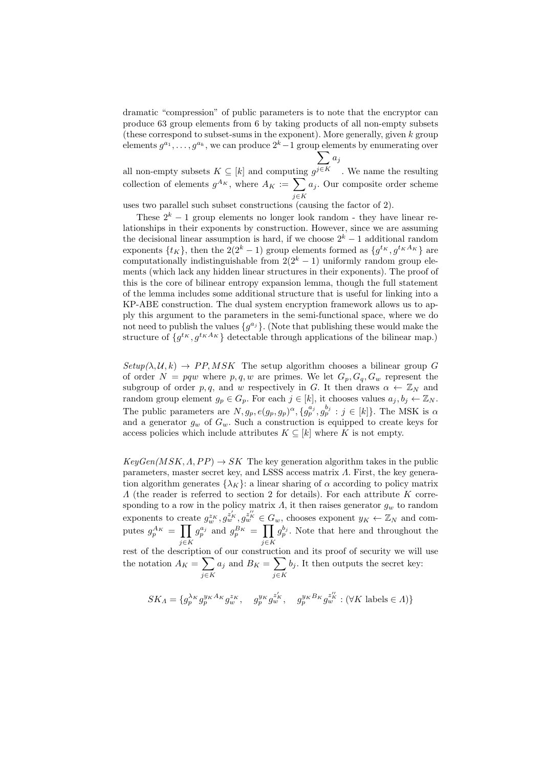dramatic "compression" of public parameters is to note that the encryptor can produce 63 group elements from 6 by taking products of all non-empty subsets (these correspond to subset-sums in the exponent). More generally, given k group elements  $g^{a_1}, \ldots, g^{a_k}$ , we can produce  $2^k - 1$  group elements by enumerating over elements  $g^{a_1}, \ldots, g^{a_k}$ , we can produce  $2^k-1$  group elements by enumerating over  $\sum$ 

all non-empty subsets  $K \subseteq [k]$  and computing g j∈K  $a_j$ . We name the resulting collection of elements  $g^{A_K}$ , where  $A_K := \sum$ j∈K  $a_j$ . Our composite order scheme

uses two parallel such subset constructions (causing the factor of 2).

These  $2^k - 1$  group elements no longer look random - they have linear relationships in their exponents by construction. However, since we are assuming the decisional linear assumption is hard, if we choose  $2<sup>k</sup> - 1$  additional random exponents  $\{t_K\}$ , then the  $2(2^k-1)$  group elements formed as  $\{g^{t_K}, g^{t_K A_K}\}$  are computationally indistinguishable from  $2(2<sup>k</sup> - 1)$  uniformly random group elements (which lack any hidden linear structures in their exponents). The proof of this is the core of bilinear entropy expansion lemma, though the full statement of the lemma includes some additional structure that is useful for linking into a KP-ABE construction. The dual system encryption framework allows us to apply this argument to the parameters in the semi-functional space, where we do not need to publish the values  ${g^{a_j}}$ . (Note that publishing these would make the structure of  $\{g^{t_K}, g^{t_K A_K}\}\$  detectable through applications of the bilinear map.)

 $Setup(\lambda, \mathcal{U}, k) \rightarrow PP, MSK$  The setup algorithm chooses a bilinear group G of order  $N = pqw$  where  $p, q, w$  are primes. We let  $G_p, G_q, G_w$  represent the subgroup of order p, q, and w respectively in G. It then draws  $\alpha \leftarrow \mathbb{Z}_N$  and random group element  $g_p \in G_p$ . For each  $j \in [k]$ , it chooses values  $a_j, b_j \leftarrow \mathbb{Z}_N$ . The public parameters are  $N, g_p, e(g_p, g_p)^\alpha, \{g_p^{a_j}, g_p^{b_j} : j \in [k]\}.$  The MSK is  $\alpha$ and a generator  $g_w$  of  $G_w$ . Such a construction is equipped to create keys for access policies which include attributes  $K \subseteq [k]$  where K is not empty.

 $KeyGen(MSK, A, PP) \rightarrow SK$  The key generation algorithm takes in the public parameters, master secret key, and LSSS access matrix  $\Lambda$ . First, the key generation algorithm generates  $\{\lambda_K\}$ : a linear sharing of  $\alpha$  according to policy matrix  $\Lambda$  (the reader is referred to section 2 for details). For each attribute  $K$  corresponding to a row in the policy matrix  $\Lambda$ , it then raises generator  $g_w$  to random exponents to create  $g_w^{z_K}, g_w^{z_K'}$ ,  $g_w^{z_K''} \in G_w$ , chooses exponent  $y_K \leftarrow \mathbb{Z}_N$  and computes  $g_p^{A_K} = \prod$ j∈K  $g_p^{a_j}$  and  $g_p^{B_K} = \prod$ j∈K  $g_p^{b_j}$ . Note that here and throughout the rest of the description of our construction and its proof of security we will use the notation  $A_K = \sum$ j∈K  $a_j$  and  $B_K = \sum$ j∈K  $b_j$ . It then outputs the secret key:

$$
SK_{\Lambda} = \{g_p^{\lambda_K} g_p^{y_K A_K} g_w^{z_K}, \quad g_p^{y_K} g_w^{z'_K}, \quad g_p^{y_K B_K} g_w^{z''_K} : (\forall K \text{ labels} \in \Lambda)\}
$$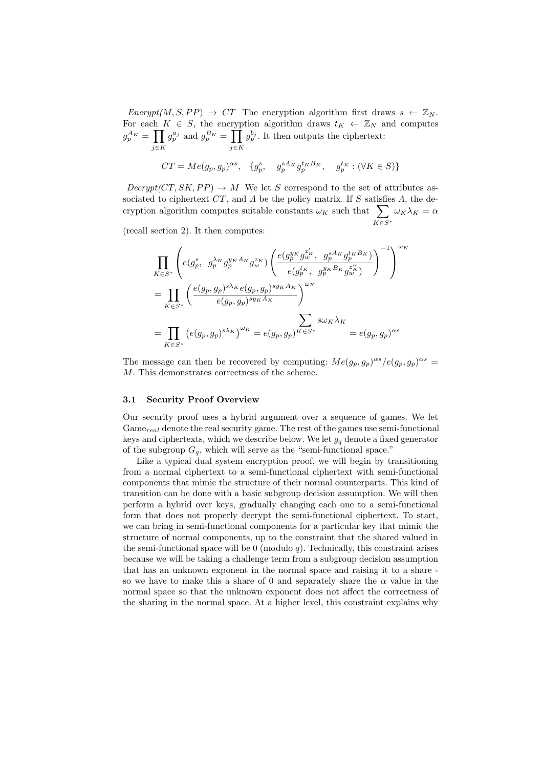$\text{Encrypt}(M, S, PP) \rightarrow CT$  The encryption algorithm first draws  $s \leftarrow \mathbb{Z}_N$ . For each  $K \in S$ , the encryption algorithm draws  $t_K \leftarrow \mathbb{Z}_N$  and computes  $g_p^{A_K} = \prod$ j∈K  $g_p^{a_j}$  and  $g_p^{B_K} = \prod$ j∈K  $g_p^{b_j}$ . It then outputs the ciphertext:

$$
CT = Me(g_p, g_p)^{\alpha s}, \quad \{g_p^s, \quad g_p^{sA_K} g_p^{t_K B_K}, \quad g_p^{t_K}: (\forall K \in S) \}
$$

 $Decrypt(CT, SK, PP) \rightarrow M$  We let S correspond to the set of attributes associated to ciphertext  $CT$ , and  $\Lambda$  be the policy matrix. If S satisfies  $\Lambda$ , the decryption algorithm computes suitable constants  $\omega_K$  such that  $\sum$  $K\!\in\! S^*$  $\omega_K \lambda_K = \alpha$ 

(recall section 2). It then computes:

$$
\prod_{K \in S^*} \left( e(g_p^s, g_p^{\lambda_K} g_p^{y_K A_K} g_w^{z_K}) \left( \frac{e(g_p^{y_K} g_w^{z_K'}, g_p^{s A_K} g_p^{t_K B_K})}{e(g_p^{t_K}, g_p^{y_K B_K} g_w^{z_K'})} \right)^{-1} \right)^{\omega_K}
$$
\n
$$
= \prod_{K \in S^*} \left( \frac{e(g_p, g_p)^{s \lambda_K} e(g_p, g_p)^{s y_K A_K}}{e(g_p, g_p)^{s y_K A_K}} \right)^{\omega_K}
$$
\n
$$
= \prod_{K \in S^*} \left( e(g_p, g_p)^{s \lambda_K} \right)^{\omega_K} = e(g_p, g_p)^{K \in S^*}
$$
\n
$$
= e(g_p, g_p)^{\alpha s}
$$

The message can then be recovered by computing:  $Me(g_p, g_p)^{\alpha s}/e(g_p, g_p)^{\alpha s} =$ M. This demonstrates correctness of the scheme.

#### 3.1 Security Proof Overview

Our security proof uses a hybrid argument over a sequence of games. We let  $Game_{real}$  denote the real security game. The rest of the games use semi-functional keys and ciphertexts, which we describe below. We let  $g_q$  denote a fixed generator of the subgroup  $G_q$ , which will serve as the "semi-functional space."

Like a typical dual system encryption proof, we will begin by transitioning from a normal ciphertext to a semi-functional ciphertext with semi-functional components that mimic the structure of their normal counterparts. This kind of transition can be done with a basic subgroup decision assumption. We will then perform a hybrid over keys, gradually changing each one to a semi-functional form that does not properly decrypt the semi-functional ciphertext. To start, we can bring in semi-functional components for a particular key that mimic the structure of normal components, up to the constraint that the shared valued in the semi-functional space will be  $0 \pmod{q}$ . Technically, this constraint arises because we will be taking a challenge term from a subgroup decision assumption that has an unknown exponent in the normal space and raising it to a share so we have to make this a share of 0 and separately share the  $\alpha$  value in the normal space so that the unknown exponent does not affect the correctness of the sharing in the normal space. At a higher level, this constraint explains why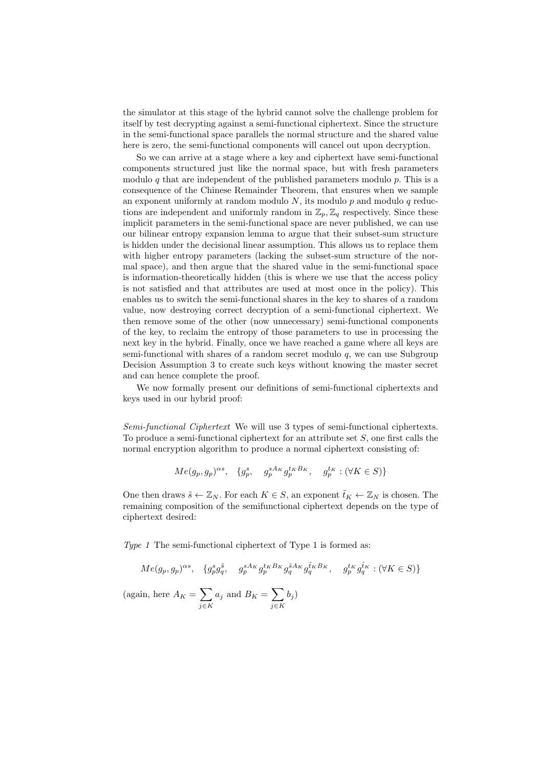the simulator at this stage of the hybrid cannot solve the challenge problem for itself by test decrypting against a semi-functional ciphertext. Since the structure in the semi-functional space parallels the normal structure and the shared value here is zero, the semi-functional components will cancel out upon decryption.

So we can arrive at a stage where a key and ciphertext have semi-functional components structured just like the normal space, but with fresh parameters modulo q that are independent of the published parameters modulo  $p$ . This is a consequence of the Chinese Remainder Theorem, that ensures when we sample an exponent uniformly at random modulo  $N$ , its modulo  $p$  and modulo  $q$  reductions are independent and uniformly random in  $\mathbb{Z}_p$ ,  $\mathbb{Z}_q$  respectively. Since these implicit parameters in the semi-functional space are never published, we can use our bilinear entropy expansion lemma to argue that their subset-sum structure is hidden under the decisional linear assumption. This allows us to replace them with higher entropy parameters (lacking the subset-sum structure of the normal space), and then argue that the shared value in the semi-functional space is information-theoretically hidden (this is where we use that the access policy is not satisfied and that attributes are used at most once in the policy). This enables us to switch the semi-functional shares in the key to shares of a random value, now destroying correct decryption of a semi-functional ciphertext. We then remove some of the other (now unnecessary) semi-functional components of the key, to reclaim the entropy of those parameters to use in processing the next key in the hybrid. Finally, once we have reached a game where all keys are semi-functional with shares of a random secret modulo  $q$ , we can use Subgroup Decision Assumption 3 to create such keys without knowing the master secret and can hence complete the proof.

We now formally present our definitions of semi-functional ciphertexts and keys used in our hybrid proof:

Semi-functional Ciphertext We will use 3 types of semi-functional ciphertexts. To produce a semi-functional ciphertext for an attribute set S, one first calls the normal encryption algorithm to produce a normal ciphertext consisting of:

$$
Me(g_p, g_p)^{\alpha s}, \quad \{g_p^s, \quad g_p^{sA_K} g_p^{t_K B_K}, \quad g_p^{t_K} : (\forall K \in S) \}
$$

One then draws  $\tilde{s} \leftarrow \mathbb{Z}_N$ . For each  $K \in S$ , an exponent  $\tilde{t}_K \leftarrow \mathbb{Z}_N$  is chosen. The remaining composition of the semifunctional ciphertext depends on the type of ciphertext desired:

Type 1 The semi-functional ciphertext of Type 1 is formed as:

$$
Me(g_p, g_p)^{\alpha s}, \quad \{g_p^s g_q^{\tilde{s}}, \quad g_p^{sA_K} g_p^{t_K} B_K g_q^{\tilde{t}_K} g_K^{\tilde{t}_K} g_K, \quad g_p^{t_K} g_q^{\tilde{t}_K} : (\forall K \in S) \}
$$
  
(again, here  $A_K = \sum_{j \in K} a_j$  and  $B_K = \sum_{j \in K} b_j$ )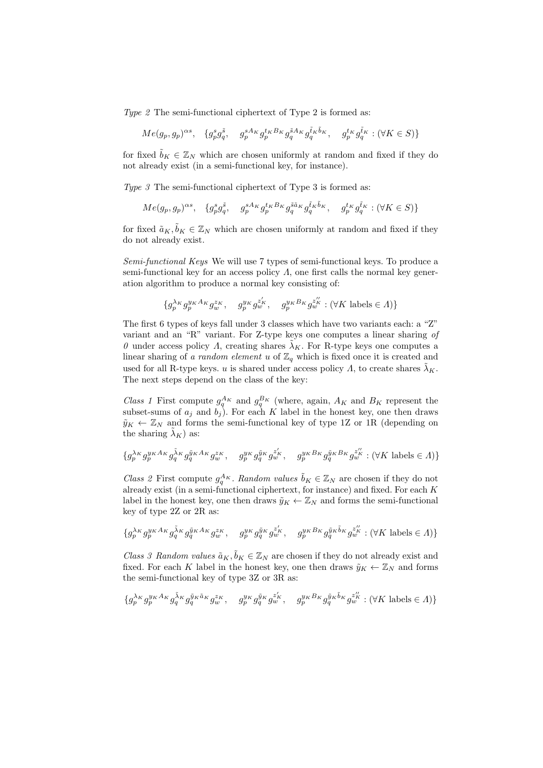Type 2 The semi-functional ciphertext of Type 2 is formed as:

$$
Me(g_p, g_p)^{\alpha s}, \quad \{g_p^s g_q^{\tilde{s}}, \quad g_p^{sA_K} g_q^{t_K B_K} g_q^{\tilde{s}A_K} g_q^{\tilde{t}_K \tilde{b}_K}, \quad g_p^{t_K} g_q^{\tilde{t}_K} : (\forall K \in S) \}
$$

for fixed  $\tilde{b}_K \in \mathbb{Z}_N$  which are chosen uniformly at random and fixed if they do not already exist (in a semi-functional key, for instance).

Type 3 The semi-functional ciphertext of Type 3 is formed as:

$$
Me(g_p, g_p)^{\alpha s}, \quad \{g_p^s g_q^{\tilde{s}}, \quad g_p^{sA_K} g_p^{t_K B_K} g_q^{\tilde{s}_{\tilde{a}K}} g_q^{\tilde{t}_K \tilde{b}_K}, \quad g_p^{t_K} g_q^{\tilde{t}_K} : (\forall K \in S) \}
$$

for fixed  $\tilde{a}_K, \tilde{b}_K \in \mathbb{Z}_N$  which are chosen uniformly at random and fixed if they do not already exist.

Semi-functional Keys We will use 7 types of semi-functional keys. To produce a semi-functional key for an access policy  $\Lambda$ , one first calls the normal key generation algorithm to produce a normal key consisting of:

$$
\{g_p^{\lambda_K}g_p^{y_KA_K}g_w^{z_K}, \quad g_p^{y_K}g_w^{z'_K}, \quad g_p^{y_KB_K}g_w^{z''_K} : (\forall K \text{ labels} \in \varLambda)\}
$$

The first 6 types of keys fall under 3 classes which have two variants each: a "Z" variant and an "R" variant. For Z-type keys one computes a linear sharing of 0 under access policy Λ, creating shares  $\tilde{\lambda}_K$ . For R-type keys one computes a linear sharing of a random element u of  $\mathbb{Z}_q$  which is fixed once it is created and used for all R-type keys. u is shared under access policy  $\Lambda$ , to create shares  $\lambda_K$ . The next steps depend on the class of the key:

Class 1 First compute  $g_q^{A_K}$  and  $g_q^{B_K}$  (where, again,  $A_K$  and  $B_K$  represent the subset-sums of  $a_j$  and  $b_j$ ). For each K label in the honest key, one then draws  $\tilde{y}_K \leftarrow \mathbb{Z}_N$  and forms the semi-functional key of type 1Z or 1R (depending on the sharing  $\tilde{\lambda}_K$ ) as:

$$
\{g_p^{\lambda_K}g_p^{y_KA_K}g_q^{\tilde{\lambda}_K}g_q^{\tilde{y}_KA_K}g_w^{z_K}, \quad g_p^{y_K}g_q^{\tilde{y}_K}g_w^{z'_K}, \quad g_p^{y_KB_K}g_q^{\tilde{y}_KB_K}g_w^{z''_K}: (\forall K \text{ labels } \in \Lambda)\}
$$

Class 2 First compute  $g_q^{A_K}$ . Random values  $\tilde{b}_K \in \mathbb{Z}_N$  are chosen if they do not already exist (in a semi-functional ciphertext, for instance) and fixed. For each K label in the honest key, one then draws  $\tilde{y}_K \leftarrow \mathbb{Z}_N$  and forms the semi-functional key of type 2Z or 2R as:

$$
\{g_p^{\lambda_K} g_p^{y_K A_K} g_q^{\tilde{\lambda}_K} g_q^{\tilde{y}_K A_K} g_w^{z_K}, \quad g_p^{y_K} g_q^{\tilde{y}_K} g_w^{z'_K}, \quad g_p^{y_K B_K} g_q^{\tilde{y}_K \tilde{b}_K} g_w^{z''_K} : (\forall K \text{ labels } \in \Lambda) \}
$$

Class 3 Random values  $\tilde{a}_K, \tilde{b}_K \in \mathbb{Z}_N$  are chosen if they do not already exist and fixed. For each K label in the honest key, one then draws  $\tilde{y}_K \leftarrow \mathbb{Z}_N$  and forms the semi-functional key of type 3Z or 3R as:

$$
\{g_p^{\lambda_K}g_p^{y_KA_K}g_q^{\tilde{\lambda}_K}g_q^{\tilde{y}_K\tilde{a}_K}g_w^{z_K}, \quad g_p^{y_K}g_q^{\tilde{y}_K}g_w^{\tilde{z}'_K}, \quad g_p^{y_KB_K}g_q^{\tilde{y}_K\tilde{b}_K}g_w^{z''_K}: (\forall K \text{ labels } \in \Lambda)\}
$$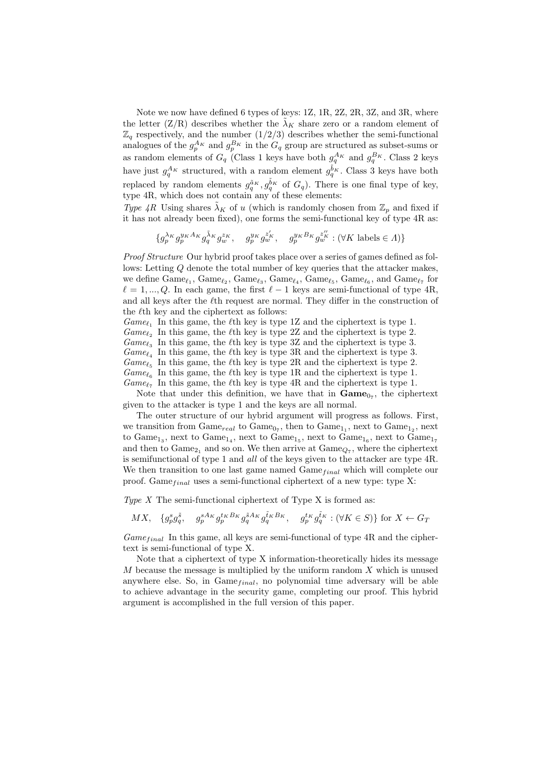Note we now have defined 6 types of keys: 1Z, 1R, 2Z, 2R, 3Z, and 3R, where the letter ( $Z/R$ ) describes whether the  $\lambda_K$  share zero or a random element of  $\mathbb{Z}_q$  respectively, and the number  $(1/2/3)$  describes whether the semi-functional analogues of the  $g_p^{A_K}$  and  $g_p^{B_K}$  in the  $G_q$  group are structured as subset-sums or as random elements of  $G_q$  (Class 1 keys have both  $g_q^{A_K}$  and  $g_q^{B_K}$ . Class 2 keys have just  $g_q^{A_K}$  structured, with a random element  $g_q^{\tilde{b}_K}$ . Class 3 keys have both replaced by random elements  $g_q^{\tilde{a}_K}, g_q^{\tilde{b}_K}$  of  $G_q$ ). There is one final type of key, type 4R, which does not contain any of these elements:

Type 4R Using shares  $\lambda_K$  of u (which is randomly chosen from  $\mathbb{Z}_p$  and fixed if it has not already been fixed), one forms the semi-functional key of type 4R as:

 $\{g_p^{\lambda_K}g_p^{y_KA_K}g_q^{\tilde{\lambda}_K}g_w^{z_K},\quad g_p^{y_K}g_w^{z_K'},\quad g_p^{y_KB_K}g_w^{z_K''}:(\forall K\text{ labels}\in\varLambda)\}$ 

Proof Structure Our hybrid proof takes place over a series of games defined as follows: Letting Q denote the total number of key queries that the attacker makes, we define  $\text{Game}_{\ell_1}$ ,  $\text{Game}_{\ell_2}$ ,  $\text{Game}_{\ell_3}$ ,  $\text{Game}_{\ell_4}$ ,  $\text{Game}_{\ell_5}$ ,  $\text{Game}_{\ell_6}$ , and  $\text{Game}_{\ell_7}$  for  $\ell = 1, ..., Q$ . In each game, the first  $\ell - 1$  keys are semi-functional of type 4R, and all keys after the  $\ell$ th request are normal. They differ in the construction of the  $\ell$ th key and the ciphertext as follows:

 $Game_{\ell_1}$  In this game, the  $\ell$ th key is type 1Z and the ciphertext is type 1.

 $Game_{\ell_2}$  In this game, the  $\ell$ th key is type 2Z and the ciphertext is type 2.

 $Game_{\ell_3}$  In this game, the  $\ell$ th key is type 3Z and the ciphertext is type 3.

 $Game_{\ell_4}$  In this game, the  $\ell$ th key is type 3R and the ciphertext is type 3.

 $Game_{\ell_5}$  In this game, the  $\ell$ th key is type 2R and the ciphertext is type 2.

 $Game_{\ell_6}$  In this game, the  $\ell$ th key is type 1R and the ciphertext is type 1.

 $Game_{\ell_7}$  In this game, the  $\ell$ th key is type 4R and the ciphertext is type 1.

Note that under this definition, we have that in  $Game_{07}$ , the ciphertext given to the attacker is type 1 and the keys are all normal.

The outer structure of our hybrid argument will progress as follows. First, we transition from  $\text{Game}_{real}$  to  $\text{Game}_{07}$ , then to  $\text{Game}_{11}$ , next to  $\text{Game}_{12}$ , next to  $\text{Game}_{1_3}$ , next to  $\text{Game}_{1_4}$ , next to  $\text{Game}_{1_5}$ , next to  $\text{Game}_{1_6}$ , next to  $\text{Game}_{1_7}$ and then to  $\text{Game}_{2_1}$  and so on. We then arrive at  $\text{Game}_{Q_7}$ , where the ciphertext is semifunctional of type 1 and all of the keys given to the attacker are type 4R. We then transition to one last game named  $Game_{final}$  which will complete our proof. Game $_{final}$  uses a semi-functional ciphertext of a new type: type X:

Type X The semi-functional ciphertext of Type X is formed as:

 $MX, \quad \{g_p^s g_q^{\tilde{s}}, \quad g_p^{sA_K} g_t^{t_K B_K} g_q^{\tilde{s}A_K} g_q^{\tilde{t}_K B_K}, \quad g_p^{t_K} g_q^{\tilde{t}_K} : (\forall K \in S) \}$  for  $X \leftarrow G_T$ 

 $Game<sub>final</sub>$  In this game, all keys are semi-functional of type 4R and the ciphertext is semi-functional of type X.

Note that a ciphertext of type X information-theoretically hides its message  $M$  because the message is multiplied by the uniform random  $X$  which is unused anywhere else. So, in  $Game_{final}$ , no polynomial time adversary will be able to achieve advantage in the security game, completing our proof. This hybrid argument is accomplished in the full version of this paper.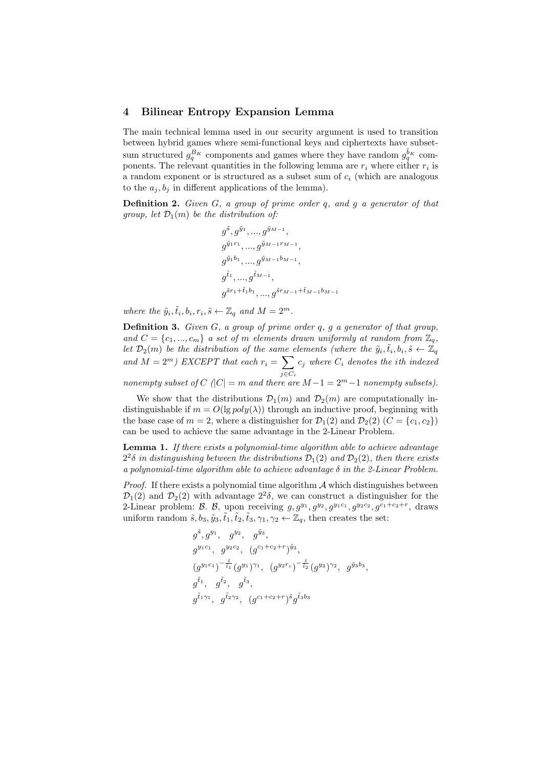## 4 Bilinear Entropy Expansion Lemma

The main technical lemma used in our security argument is used to transition between hybrid games where semi-functional keys and ciphertexts have subsetsum structured  $g_q^{B_K}$  components and games where they have random  $g_q^{\tilde{b}_K}$  components. The relevant quantities in the following lemma are  $r_i$  where either  $r_i$  is a random exponent or is structured as a subset sum of  $c_i$  (which are analogous to the  $a_j, b_j$  in different applications of the lemma).

**Definition 2.** Given  $G$ , a group of prime order  $q$ , and  $q$  a generator of that group, let  $\mathcal{D}_1(m)$  be the distribution of:

$$
\begin{aligned} &g^{\tilde{s}},g^{\tilde{y}_1},...,g^{\tilde{y}_{M-1}},\\ &g^{\tilde{y}_1r_1},...,g^{\tilde{y}_{M-1}r_{M-1}},\\ &g^{\tilde{y}_1b_1},...,g^{\tilde{y}_{M-1}b_{M-1}},\\ &g^{\tilde{t}_1},...,g^{\tilde{t}_{M-1}},\\ &g^{sr_1+\tilde{t}_1b_1},...,g^{sr_{M-1}+\tilde{t}_{M-1}b_{M-1}} \end{aligned}
$$

where the  $\tilde{y}_i, \tilde{t}_i, b_i, r_i, \tilde{s} \leftarrow \mathbb{Z}_q$  and  $M = 2^m$ .

**Definition 3.** Given  $G$ , a group of prime order  $q$ ,  $q$  a generator of that group, and  $C = \{c_1, ..., c_m\}$  a set of m elements drawn uniformly at random from  $\mathbb{Z}_q$ , let  $\mathcal{D}_2(m)$  be the distribution of the same elements (where the  $\tilde{y}_i, \tilde{t}_i, b_i, \tilde{s} \leftarrow \mathbb{Z}_q$ and  $M = 2^m$ ) EXCEPT that each  $r_i = \sum$  $j \in C_i$  $c_j$  where  $C_i$  denotes the ith indexed

nonempty subset of  $C \nvert C \rvert = m$  and there are  $M - 1 = 2<sup>m</sup> - 1$  nonempty subsets).

We show that the distributions  $\mathcal{D}_1(m)$  and  $\mathcal{D}_2(m)$  are computationally indistinguishable if  $m = O(\lg poly(\lambda))$  through an inductive proof, beginning with the base case of  $m = 2$ , where a distinguisher for  $\mathcal{D}_1(2)$  and  $\mathcal{D}_2(2)$   $(C = \{c_1, c_2\})$ can be used to achieve the same advantage in the 2-Linear Problem.

**Lemma 1.** If there exists a polynomial-time algorithm able to achieve advantage  $2^2\delta$  in distinguishing between the distributions  $\mathcal{D}_1(2)$  and  $\mathcal{D}_2(2)$ , then there exists a polynomial-time algorithm able to achieve advantage  $\delta$  in the 2-Linear Problem.

*Proof.* If there exists a polynomial time algorithm  $A$  which distinguishes between  $\mathcal{D}_1(2)$  and  $\mathcal{D}_2(2)$  with advantage  $2^2\delta$ , we can construct a distinguisher for the 2-Linear problem: B. B, upon receiving  $g, g^{y_1}, g^{y_2}, g^{y_1c_1}, g^{y_2c_2}, g^{c_1+c_2+r}$ , draws uniform random  $\tilde{s}, b_3, \tilde{y}_3, \tilde{t}_1, \tilde{t}_2, \tilde{t}_3, \gamma_1, \gamma_2 \leftarrow \mathbb{Z}_q$ , then creates the set:

$$
\begin{array}{ll}\ng^{\tilde{s}},g^{y_{1}}, & g^{y_{2}}, & g^{\tilde{y}_{3}}, \\
g^{y_{1}c_{1}}, & g^{y_{2}c_{2}}, & (g^{c_{1}+c_{2}+r})^{\tilde{y}_{3}}, \\
(g^{y_{1}c_{1}})^{-\frac{\tilde{s}}{\tilde{t}_{1}}}(g^{y_{1}})^{\gamma_{1}}, & (g^{y_{2}r_{c}})^{-\frac{\tilde{s}}{\tilde{t}_{2}}}(g^{y_{2}})^{\gamma_{2}}, & g^{\tilde{y}_{3}b_{3}}, \\
g^{\tilde{t}_{1}}, & g^{\tilde{t}_{2}}, & g^{\tilde{t}_{3}}, \\
g^{\tilde{t}_{1}\gamma_{1}}, & g^{\tilde{t}_{2}\gamma_{2}}, & (g^{c_{1}+c_{2}+r})^{\tilde{s}}g^{\tilde{t}_{3}b_{3}}\n\end{array}
$$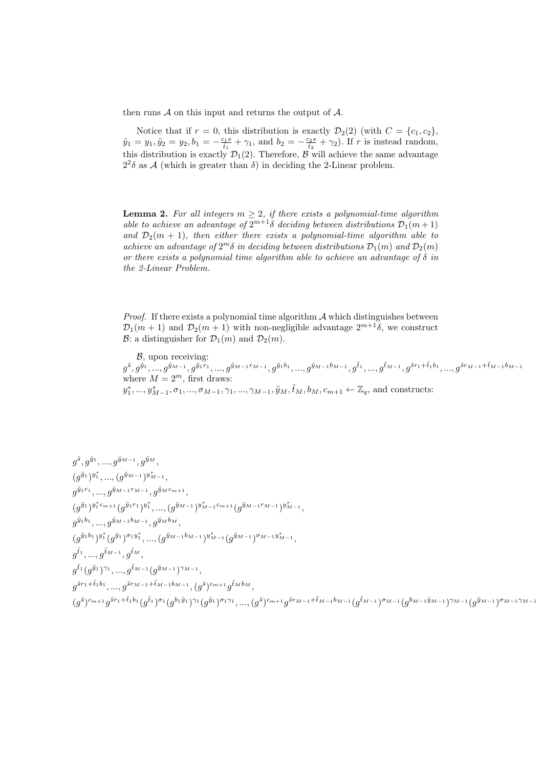then runs  $A$  on this input and returns the output of  $A$ .

Notice that if  $r = 0$ , this distribution is exactly  $\mathcal{D}_2(2)$  (with  $C = \{c_1, c_2\}$ ,  $\tilde{y}_1 = y_1, \tilde{y}_2 = y_2, b_1 = -\frac{c_1s}{\tilde{t}_1} + \gamma_1$ , and  $b_2 = -\frac{c_2s}{\tilde{t}_2} + \gamma_2$ . If r is instead random, this distribution is exactly  $\mathcal{D}_1(2)$ . Therefore,  $\mathcal{B}$  will achieve the same advantage  $2^2\delta$  as A (which is greater than  $\delta$ ) in deciding the 2-Linear problem.

**Lemma 2.** For all integers  $m \geq 2$ , if there exists a polynomial-time algorithm able to achieve an advantage of  $2^{m+1}\delta$  deciding between distributions  $\mathcal{D}_1(m+1)$ and  $\mathcal{D}_2(m+1)$ , then either there exists a polynomial-time algorithm able to achieve an advantage of  $2^m\delta$  in deciding between distributions  $\mathcal{D}_1(m)$  and  $\mathcal{D}_2(m)$ or there exists a polynomial time algorithm able to achieve an advantage of  $\delta$  in the 2-Linear Problem.

*Proof.* If there exists a polynomial time algorithm  $A$  which distinguishes between  $\mathcal{D}_1(m+1)$  and  $\mathcal{D}_2(m+1)$  with non-negligible advantage  $2^{m+1}\delta$ , we construct  $\mathcal{B}$ : a distinguisher for  $\mathcal{D}_1(m)$  and  $\mathcal{D}_2(m)$ .

B, upon receiving:  $g^{\tilde{s}}, g^{\tilde{y}_1}, ..., g^{\tilde{y}_{M-1}} , ..., g^{\tilde{y}_{M-1}r_{M-1}}, g^{\tilde{y}_1b_1}, ..., g^{\tilde{y}_{M-1}b_{M-1}}, g^{\tilde{t}_1}, ..., g^{\tilde{t}_{M-1}}, g^{\tilde{s}r_1+\tilde{t}_1b_1}, ..., g^{\tilde{s}r_{M-1}+\tilde{t}_{M-1}b_{M-1}}$ where  $M = 2^m$ , first draws:  $y_1^*,..., y_{M-1}^*, \sigma_1,...,\sigma_{M-1}, \gamma_1,...,\gamma_{M-1}, \tilde{y}_M, \tilde{t}_M, b_M, c_{m+1} \leftarrow \mathbb{Z}_q$ , and constructs:

$$
\begin{split} &g^{\tilde{s}},g^{\tilde{y}_{1}},...,g^{\tilde{y}_{M-1}},g^{\tilde{y}_{M}},\\ & (g^{\tilde{y}_{1}})^{y_{1}^{*}},...,g^{\tilde{y}_{M-1}})^{y_{M-1}^{*}},\\ &g^{\tilde{y}_{1}r_{1}},...,g^{\tilde{y}_{M-1}r_{M-1}},g^{\tilde{y}_{M}c_{m+1}},\\ & (g^{\tilde{y}_{1}})^{y_{1}^{*}c_{m+1}}(g^{\tilde{y}_{1}r_{1}})^{y_{1}^{*}},...,(g^{\tilde{y}_{M-1}})^{y_{M-1}^{*}c_{m+1}}(g^{\tilde{y}_{M-1}r_{M-1}})^{y_{M-1}^{*}},\\ &g^{\tilde{y}_{1}b_{1}},...,g^{\tilde{y}_{M-1}b_{M-1}},g^{\tilde{y}_{M}b_{M}},\\ & (g^{\tilde{y}_{1}b_{1}})^{y_{1}^{*}}(g^{\tilde{y}_{1}})^{\sigma_{1}y_{1}^{*}},...,(g^{\tilde{y}_{M-1}b_{M-1}})^{y_{M-1}^{*}}(g^{\tilde{y}_{M-1}})^{\sigma_{M-1}y_{M-1}^{*}},\\ &g^{\tilde{t}_{1}},...,g^{\tilde{t}_{M-1}},g^{\tilde{t}_{M}},\\ &g^{\tilde{t}_{1}}(g^{\tilde{y}_{1}})^{\gamma_{1}},...,g^{\tilde{t}_{M-1}}(g^{\tilde{y}_{M-1}})^{\gamma_{M-1}},\\ &g^{\tilde{s}r_{1}+\tilde{t}_{1}b_{1}},...,g^{\tilde{s}r_{M-1}+\tilde{t}_{M-1}b_{M-1}},(g^{\tilde{s}})^{c_{m+1}}g^{\tilde{t}_{M}b_{M}},\\ &(g^{\tilde{s}})^{c_{m+1}}g^{\tilde{s}_{r_{1}+\tilde{t}_{1}b_{1}}}(g^{\tilde{t}_{1}})^{\gamma_{1}}(g^{\tilde{t}_{1}})^{\gamma_{1}}(g^{\tilde{y}_{1}})^{\gamma_{1}}^{*})(g^{\tilde{y}_{1}})^{\gamma_{1}},...,(g^{\tilde{s}})^{c_{m+1}}g^{\tilde{s}_{r_{M-1}+\tilde{t}_{M-1}b_{M-1}}}(g^{\
$$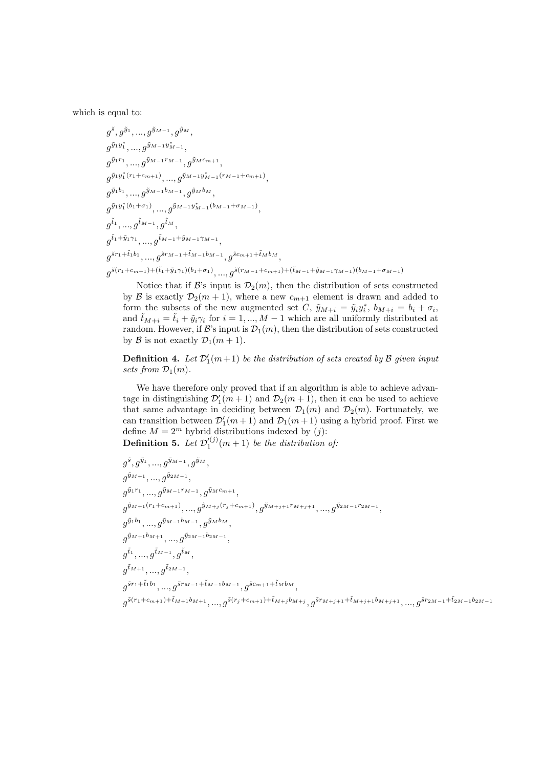which is equal to:

$$
\begin{aligned} &g^{\tilde{s}},g^{\tilde{y}_1},...,g^{\tilde{y}_{M-1}},g^{\tilde{y}_M},\\ &g^{\tilde{y}_1y_1^*},...,g^{\tilde{y}_{M-1}y_{M-1}^*},\\ &g^{\tilde{y}_1r_1},...,g^{\tilde{y}_{M-1}r_{M-1}},g^{\tilde{y}_Mc_{m+1}},\\ &g^{\tilde{y}_1y_1^*(r_1+c_{m+1})},...,g^{\tilde{y}_{M-1}y_{M-1}^*(r_{M-1}+c_{m+1})},\\ &g^{\tilde{y}_1b_1},...,g^{\tilde{y}_{M-1}b_{M-1}},g^{\tilde{y}_Mb_M},\\ &g^{\tilde{y}_1y_1^*(b_1+\sigma_1)},...,g^{\tilde{y}_{M-1}y_{M-1}^*(b_{M-1}+\sigma_{M-1})},\\ &g^{\tilde{t}_1},...,g^{\tilde{t}_{M-1}},g^{\tilde{t}_M},\\ &g^{\tilde{t}_1+\tilde{y}_1\gamma_1},...,g^{\tilde{t}_{M-1}+\tilde{y}_{M-1}\gamma_{M-1}},\\ &g^{\tilde{s}r_1+\tilde{t}_1b_1},...,g^{\tilde{s}r_{M-1}+\tilde{t}_{M-1}b_{M-1}},g^{\tilde{s}c_{m+1}+\tilde{t}_Mb_M},\\ &g^{\tilde{s}(r_1+c_{m+1})+(\tilde{t}_1+\tilde{y}_1\gamma_1)(b_1+\sigma_1)},...,g^{\tilde{s}(r_{M-1}+c_{m+1})+(\tilde{t}_{M-1}+\tilde{y}_{M-1}\gamma_{M-1})(b_{M-1}+\sigma_{M-1})}\end{aligned}
$$

Notice that if  $\mathcal{B}'$ 's input is  $\mathcal{D}_2(m)$ , then the distribution of sets constructed by B is exactly  $\mathcal{D}_2(m+1)$ , where a new  $c_{m+1}$  element is drawn and added to form the subsets of the new augmented set C,  $\tilde{y}_{M+i} = \tilde{y}_i y_i^*$ ,  $b_{M+i} = b_i + \sigma_i$ , and  $\tilde{t}_{M+i} = \tilde{t}_i + \tilde{y}_i \gamma_i$  for  $i = 1, ..., M-1$  which are all uniformly distributed at random. However, if  $\mathcal{B}'$ 's input is  $\mathcal{D}_1(m)$ , then the distribution of sets constructed by  $\mathcal B$  is not exactly  $\mathcal D_1(m+1)$ .

**Definition 4.** Let  $\mathcal{D}'_1(m+1)$  be the distribution of sets created by  $\mathcal B$  given input sets from  $\mathcal{D}_1(m)$ .

We have therefore only proved that if an algorithm is able to achieve advantage in distinguishing  $\mathcal{D}'_1(m+1)$  and  $\mathcal{D}_2(m+1)$ , then it can be used to achieve that same advantage in deciding between  $\mathcal{D}_1(m)$  and  $\mathcal{D}_2(m)$ . Fortunately, we can transition between  $\mathcal{D}'_1(m+1)$  and  $\mathcal{D}_1(m+1)$  using a hybrid proof. First we define  $M = 2^m$  hybrid distributions indexed by (j):

**Definition 5.** Let  $\mathcal{D}'^{(j)}_1(m+1)$  be the distribution of:

$$
\begin{split} &g^{\tilde{s}},g^{\tilde{y}_{1}},...,g^{\tilde{y}_{M-1}},g^{\tilde{y}_{M}},\\ &g^{\tilde{y}_{M+1}},...,g^{\tilde{y}_{M-1}},\\ &g^{\tilde{y}_{1}r_{1}},...,g^{\tilde{y}_{M-1}r_{M-1}},g^{\tilde{y}_{M}c_{m+1}},\\ &g^{\tilde{y}_{M+1}(r_{1}+c_{m+1})},...,g^{\tilde{y}_{M+j}(r_{j}+c_{m+1})},g^{\tilde{y}_{M+j+1}r_{M+j+1}},...,g^{\tilde{y}_{2M-1}r_{2M-1}},\\ &g^{\tilde{y}_{1}b_{1}},...,g^{\tilde{y}_{M-1}b_{M-1}},g^{\tilde{y}_{M}b_{M}},\\ &g^{\tilde{y}_{M+1}b_{M+1}},...,g^{\tilde{y}_{2M-1}b_{2M-1}},\\ &g^{\tilde{t}_{1}},...,g^{\tilde{t}_{M-1}},g^{\tilde{t}_{M}},\\ &g^{\tilde{s}r_{1}+\tilde{t}_{1}b_{1}},...,g^{\tilde{s}_{r_{M-1}}+\tilde{t}_{M-1}b_{M-1}},g^{\tilde{s}c_{m+1}+\tilde{t}_{M}b_{M}},\\ &g^{\tilde{s}r_{1}+\tilde{t}_{1}b_{1}},...,g^{\tilde{s}r_{M-1}+\tilde{t}_{M-1}b_{M-1}},g^{\tilde{s}c_{m+1}+\tilde{t}_{M}b_{M}},\\ \end{split}
$$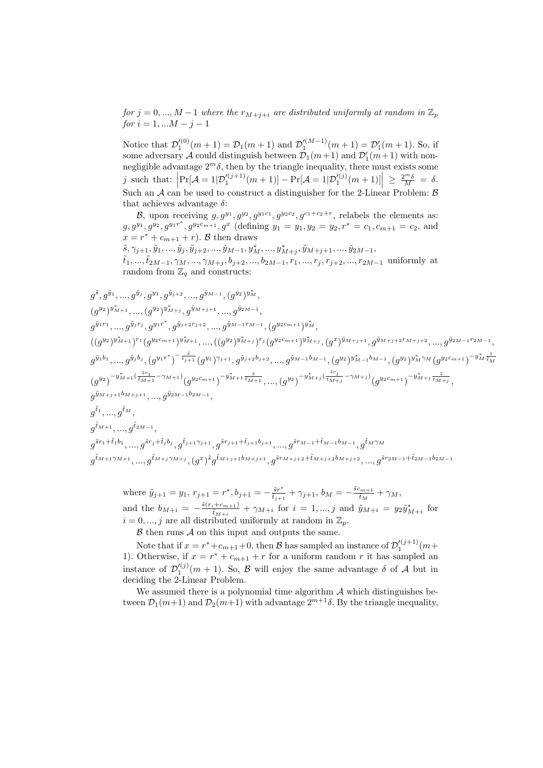for  $j = 0, ..., M - 1$  where the  $r_{M+j+i}$  are distributed uniformly at random in  $\mathbb{Z}_p$ for  $i = 1,...M - j - 1$ 

Notice that  $\mathcal{D}'_1^{(0)}(m+1) = \mathcal{D}_1(m+1)$  and  $\mathcal{D}'_1^{(M-1)}(m+1) = \mathcal{D}'_1(m+1)$ . So, if some adversary  $\mathcal A$  could distinguish between  $\mathcal D_1(m+1)$  and  $\mathcal D'_1(m+1)$  with nonnegligible advantage  $2^m\delta$ , then by the triangle inequality, there must exists some j such that:  $\left|\Pr[\mathcal{A} = 1|\mathcal{D}'_1^{(j+1)}(m+1)] - \Pr[\mathcal{A} = 1|\mathcal{D}'_1^{(j)}(m+1)]\right| \ge \frac{2^m \delta}{M} = \delta.$ Such an  $A$  can be used to construct a distinguisher for the 2-Linear Problem:  $B$ that achieves advantage  $\delta$ :

B, upon receiving  $g, g^{y_1}, g^{y_2}, g^{y_1c_1}, g^{y_2c_2}, g^{c_1+c_2+r}$ , relabels the elements as:  $g, g^{y_1}, g^{y_2}, g^{y_1r^*}, g^{y_2c_{m+1}}, g^x$  (defining  $y_1 = y_1, y_2 = y_2, r^* = c_1, c_{m+1} = c_2$ , and  $x = r^* + c_{m+1} + r$ . B then draws  $\tilde{s}, \gamma_{j+1}, \tilde{y}_1, ..., \tilde{y}_j, \tilde{y}_{j+2}, ..., \tilde{y}_{M-1}, y^*_M, ..., y^*_{M+j}, \tilde{y}_{M+j+1}, ..., \tilde{y}_{2M-1},$  $\tilde{t}_1, ..., \tilde{t}_{2M-1}, \gamma_M, ..., \gamma_{M+j}, b_{j+2}, ..., b_{2M-1}, r_1, ..., r_j, r_{j+2}, ..., r_{2M-1}$  uniformly at random from  $\mathbb{Z}_q$  and constructs:

$$
g^{\tilde{s}}, g^{\tilde{y}_{1}},...,g^{\tilde{y}_{j}},g^{y_{1}},g^{\tilde{y}_{j+2}},...,g^{\tilde{y}_{M-1}},(g^{y_{2}})^{y_{M}^{*}},(g^{y_{2}})^{y_{M+1}^{*}},...,(g^{y_{2}})^{y_{M+j}^{*}},g^{\tilde{y}_{M+j+1}},...,g^{\tilde{y}_{M+j+1}},...,(g^{y_{2M-1}},
$$
  
\n
$$
g^{\tilde{y}_{1}r_{1}},...,g^{\tilde{y}_{j}r_{j}},g^{y_{1}r^{*}},g^{\tilde{y}_{j+2}r_{j+2}},...,g^{\tilde{y}_{M-1}r_{M-1}},(g^{y_{2}c_{m+1}})^{y_{M}^{*}},((g^{y_{2}})^{y_{M+1}^{*}})^{r_{1}}(g^{y_{2}c_{m+1}})^{y_{M+1}^{*}},...,((g^{y_{2}})^{y_{M+j}^{*}})^{r_{j}}(g^{y_{2}c_{m+1}})^{y_{M+j}^{*}},(g^{x})^{\tilde{y}_{M+j+2}r_{M+j+2}},...,g^{\tilde{y}_{2M-1}r_{2M-1}},
$$
  
\n
$$
g^{\tilde{y}_{1}b_{1}},...,g^{\tilde{y}_{j}b_{j}},(g^{y_{1}r^{*}})^{-\frac{\tilde{s}}{\tilde{t}_{j+1}}}(g^{y_{1}})^{\gamma_{j+1}},g^{\tilde{y}_{j+2}b_{j+2}},...,g^{\tilde{y}_{M-1}b_{M-1}},(g^{y_{2}})^{y_{M-1}^{*}}^{y_{M-1}}^{y_{M-1}},(g^{y_{2}})^{y_{M}^{*}}\gamma_{M}(g^{y_{2}c_{m+1}})^{-y_{M}^{*}}^{*}
$$
  
\n
$$
(g^{y_{2}})^{-y_{M+1}^{*}}(i_{M+1}^{s_{m+1}}-\gamma_{M+1})}(g^{y_{2}c_{m+1}})^{-y_{M+1}^{*}}i_{M+1}^{-\tilde{s}},..., (g^{y_{2}})^{-y_{M+j}^{*}}(i_{M+j}^{s_{m}}-\gamma_{M+j})(g^{y_{2}c_{m+1}})^{-y_{M}^{*}}i_{M+j}^{-\tilde{s}},
$$

where  $\tilde{y}_{j+1} = y_1, r_{j+1} = r^*, b_{j+1} = -\frac{\tilde{s}r^*}{\tilde{t}_{j+1}}$  $\frac{\tilde{s}r^{*}}{\tilde{t}_{j+1}} + \gamma_{j+1}, b_M = -\frac{\tilde{s}c_{m+1}}{\tilde{t}_M} + \gamma_M,$ and the  $b_{M+i} = -\frac{\tilde{s}(r_i + c_{m+1})}{\tilde{t}_{M+i}} + \gamma_{M+i}$  for  $i = 1, ..., j$  and  $\tilde{y}_{M+i} = y_2 \tilde{y}_{M+i}^*$  for  $i = 0, ..., j$  are all distributed uniformly at random in  $\mathbb{Z}_p$ .

 $\beta$  then runs  $\mathcal A$  on this input and outputs the same.

Note that if  $x = r^* + c_{m+1} + 0$ , then B has sampled an instance of  $\mathcal{D}'_1^{(j+1)}(m +$ 1). Otherwise, if  $x = r^* + c_{m+1} + r$  for a uniform random r it has sampled an instance of  $\mathcal{D}'^{(j)}(m+1)$ . So,  $\mathcal{B}$  will enjoy the same advantage  $\delta$  of  $\mathcal{A}$  but in deciding the 2-Linear Problem.

We assumed there is a polynomial time algorithm  $A$  which distinguishes between  $\mathcal{D}_1(m+1)$  and  $\mathcal{D}_2(m+1)$  with advantage  $2^{m+1}\delta$ . By the triangle inequality,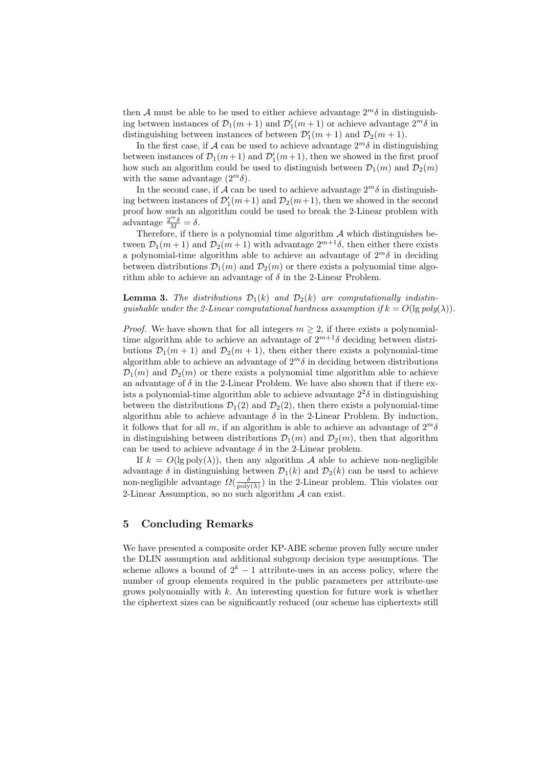then A must be able to be used to either achieve advantage  $2^m\delta$  in distinguishing between instances of  $\mathcal{D}_1(m+1)$  and  $\mathcal{D}'_1(m+1)$  or achieve advantage  $2^m\delta$  in distinguishing between instances of between  $\mathcal{D}'_1(m+1)$  and  $\mathcal{D}_2(m+1)$ .

In the first case, if A can be used to achieve advantage  $2^m\delta$  in distinguishing between instances of  $\mathcal{D}_1(m+1)$  and  $\mathcal{D}'_1(m+1)$ , then we showed in the first proof how such an algorithm could be used to distinguish between  $\mathcal{D}_1(m)$  and  $\mathcal{D}_2(m)$ with the same advantage  $(2^m \delta)$ .

In the second case, if A can be used to achieve advantage  $2^m\delta$  in distinguishing between instances of  $\mathcal{D}'_1(m+1)$  and  $\mathcal{D}_2(m+1)$ , then we showed in the second proof how such an algorithm could be used to break the 2-Linear problem with advantage  $\frac{2^m \delta}{M} = \delta$ .

Therefore, if there is a polynomial time algorithm  $A$  which distinguishes between  $\mathcal{D}_1(m+1)$  and  $\mathcal{D}_2(m+1)$  with advantage  $2^{m+1}\delta$ , then either there exists a polynomial-time algorithm able to achieve an advantage of  $2^m\delta$  in deciding between distributions  $\mathcal{D}_1(m)$  and  $\mathcal{D}_2(m)$  or there exists a polynomial time algorithm able to achieve an advantage of  $\delta$  in the 2-Linear Problem.

## **Lemma 3.** The distributions  $\mathcal{D}_1(k)$  and  $\mathcal{D}_2(k)$  are computationally indistinguishable under the 2-Linear computational hardness assumption if  $k = O(\lg poly(\lambda))$ .

*Proof.* We have shown that for all integers  $m > 2$ , if there exists a polynomialtime algorithm able to achieve an advantage of  $2^{m+1}\delta$  deciding between distributions  $\mathcal{D}_1(m+1)$  and  $\mathcal{D}_2(m+1)$ , then either there exists a polynomial-time algorithm able to achieve an advantage of  $2^m\delta$  in deciding between distributions  $\mathcal{D}_1(m)$  and  $\mathcal{D}_2(m)$  or there exists a polynomial time algorithm able to achieve an advantage of  $\delta$  in the 2-Linear Problem. We have also shown that if there exists a polynomial-time algorithm able to achieve advantage  $2^2\delta$  in distinguishing between the distributions  $\mathcal{D}_1(2)$  and  $\mathcal{D}_2(2)$ , then there exists a polynomial-time algorithm able to achieve advantage  $\delta$  in the 2-Linear Problem. By induction, it follows that for all m, if an algorithm is able to achieve an advantage of  $2^m\delta$ in distinguishing between distributions  $\mathcal{D}_1(m)$  and  $\mathcal{D}_2(m)$ , then that algorithm can be used to achieve advantage  $\delta$  in the 2-Linear problem.

If  $k = O(\lg \text{poly}(\lambda))$ , then any algorithm A able to achieve non-negligible advantage  $\delta$  in distinguishing between  $\mathcal{D}_1(k)$  and  $\mathcal{D}_2(k)$  can be used to achieve non-negligible advantage  $\Omega(\frac{\delta}{\text{poly}(\lambda)})$  in the 2-Linear problem. This violates our 2-Linear Assumption, so no such algorithm  ${\mathcal A}$  can exist.

## 5 Concluding Remarks

We have presented a composite order KP-ABE scheme proven fully secure under the DLIN assumption and additional subgroup decision type assumptions. The scheme allows a bound of  $2^k - 1$  attribute-uses in an access policy, where the number of group elements required in the public parameters per attribute-use grows polynomially with  $k$ . An interesting question for future work is whether the ciphertext sizes can be significantly reduced (our scheme has ciphertexts still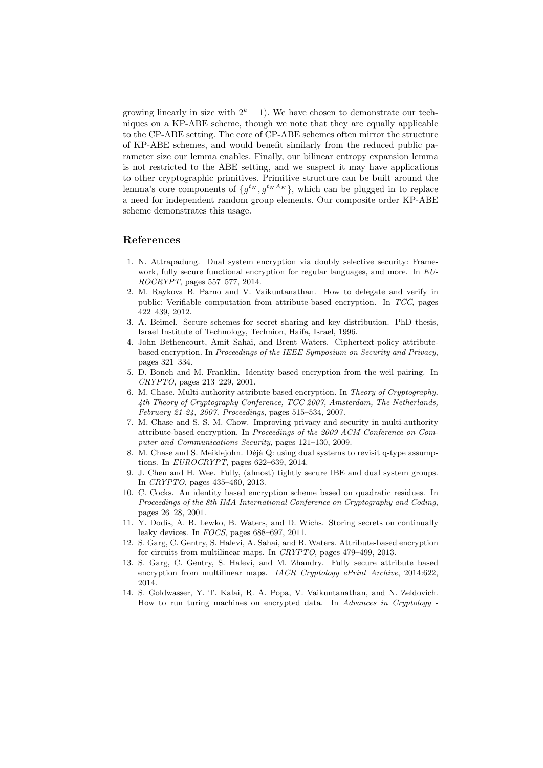growing linearly in size with  $2<sup>k</sup> - 1$ ). We have chosen to demonstrate our techniques on a KP-ABE scheme, though we note that they are equally applicable to the CP-ABE setting. The core of CP-ABE schemes often mirror the structure of KP-ABE schemes, and would benefit similarly from the reduced public parameter size our lemma enables. Finally, our bilinear entropy expansion lemma is not restricted to the ABE setting, and we suspect it may have applications to other cryptographic primitives. Primitive structure can be built around the lemma's core components of  $\{g^{t_K}, g^{t_K A_K}\}\$ , which can be plugged in to replace a need for independent random group elements. Our composite order KP-ABE scheme demonstrates this usage.

## References

- 1. N. Attrapadung. Dual system encryption via doubly selective security: Framework, fully secure functional encryption for regular languages, and more. In EU-ROCRYPT, pages 557–577, 2014.
- 2. M. Raykova B. Parno and V. Vaikuntanathan. How to delegate and verify in public: Verifiable computation from attribute-based encryption. In TCC, pages 422–439, 2012.
- 3. A. Beimel. Secure schemes for secret sharing and key distribution. PhD thesis, Israel Institute of Technology, Technion, Haifa, Israel, 1996.
- 4. John Bethencourt, Amit Sahai, and Brent Waters. Ciphertext-policy attributebased encryption. In Proceedings of the IEEE Symposium on Security and Privacy, pages 321–334.
- 5. D. Boneh and M. Franklin. Identity based encryption from the weil pairing. In CRYPTO, pages 213–229, 2001.
- 6. M. Chase. Multi-authority attribute based encryption. In Theory of Cryptography, 4th Theory of Cryptography Conference, TCC 2007, Amsterdam, The Netherlands, February 21-24, 2007, Proceedings, pages 515–534, 2007.
- 7. M. Chase and S. S. M. Chow. Improving privacy and security in multi-authority attribute-based encryption. In Proceedings of the 2009 ACM Conference on Computer and Communications Security, pages 121–130, 2009.
- 8. M. Chase and S. Meiklejohn. Déjà Q: using dual systems to revisit q-type assumptions. In EUROCRYPT, pages 622–639, 2014.
- 9. J. Chen and H. Wee. Fully, (almost) tightly secure IBE and dual system groups. In CRYPTO, pages 435–460, 2013.
- 10. C. Cocks. An identity based encryption scheme based on quadratic residues. In Proceedings of the 8th IMA International Conference on Cryptography and Coding, pages 26–28, 2001.
- 11. Y. Dodis, A. B. Lewko, B. Waters, and D. Wichs. Storing secrets on continually leaky devices. In FOCS, pages 688–697, 2011.
- 12. S. Garg, C. Gentry, S. Halevi, A. Sahai, and B. Waters. Attribute-based encryption for circuits from multilinear maps. In CRYPTO, pages 479–499, 2013.
- 13. S. Garg, C. Gentry, S. Halevi, and M. Zhandry. Fully secure attribute based encryption from multilinear maps. IACR Cryptology ePrint Archive, 2014:622, 2014.
- 14. S. Goldwasser, Y. T. Kalai, R. A. Popa, V. Vaikuntanathan, and N. Zeldovich. How to run turing machines on encrypted data. In Advances in Cryptology -